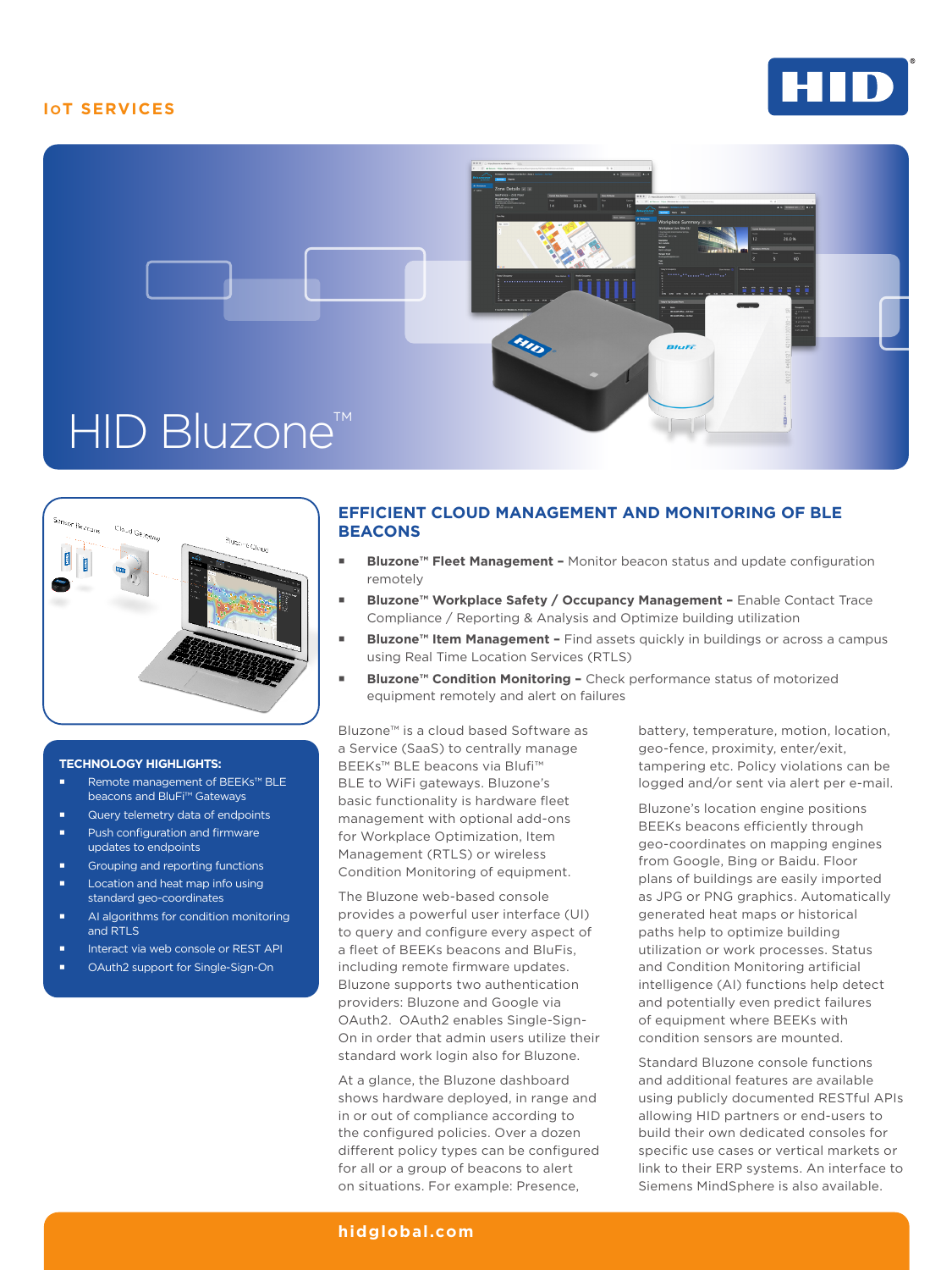# **IOT SERVICES**







#### **TECHNOLOGY HIGHLIGHTS:**

- Remote management of BEEKs™ BLE beacons and BluFi™ Gateways
- Query telemetry data of endpoints Push configuration and firmware
- updates to endpoints
- Grouping and reporting functions
- Location and heat map info using standard geo-coordinates
- **AI algorithms for condition monitoring** and RTLS
- Interact via web console or REST API
- OAuth2 support for Single-Sign-On

## **EFFICIENT CLOUD MANAGEMENT AND MONITORING OF BLE BEACONS**

- Bluzone<sup>™</sup> Fleet Management Monitor beacon status and update configuration remotely
- **Bluzone™ Workplace Safety / Occupancy Management Enable Contact Trace** Compliance / Reporting & Analysis and Optimize building utilization
- **Bluzone™ Item Management** Find assets quickly in buildings or across a campus using Real Time Location Services (RTLS)
- **Bluzone™ Condition Monitoring** Check performance status of motorized equipment remotely and alert on failures

Bluzone™ is a cloud based Software as a Service (SaaS) to centrally manage BEEKs™ BLE beacons via Blufi™ BLE to WiFi gateways. Bluzone's basic functionality is hardware fleet management with optional add-ons for Workplace Optimization, Item Management (RTLS) or wireless Condition Monitoring of equipment.

The Bluzone web-based console provides a powerful user interface (UI) to query and configure every aspect of a fleet of BEEKs beacons and BluFis, including remote firmware updates. Bluzone supports two authentication providers: Bluzone and Google via OAuth2. OAuth2 enables Single-Sign-On in order that admin users utilize their standard work login also for Bluzone.

At a glance, the Bluzone dashboard shows hardware deployed, in range and in or out of compliance according to the configured policies. Over a dozen different policy types can be configured for all or a group of beacons to alert on situations. For example: Presence,

battery, temperature, motion, location, geo-fence, proximity, enter/exit, tampering etc. Policy violations can be logged and/or sent via alert per e-mail.

Bluzone's location engine positions BEEKs beacons efficiently through geo-coordinates on mapping engines from Google, Bing or Baidu. Floor plans of buildings are easily imported as JPG or PNG graphics. Automatically generated heat maps or historical paths help to optimize building utilization or work processes. Status and Condition Monitoring artificial intelligence (AI) functions help detect and potentially even predict failures of equipment where BEEKs with condition sensors are mounted.

Standard Bluzone console functions and additional features are available using publicly documented RESTful APIs allowing HID partners or end-users to build their own dedicated consoles for specific use cases or vertical markets or link to their ERP systems. An interface to Siemens MindSphere is also available.

### **[hidglobal.com](http://www.hidglobal.com)**